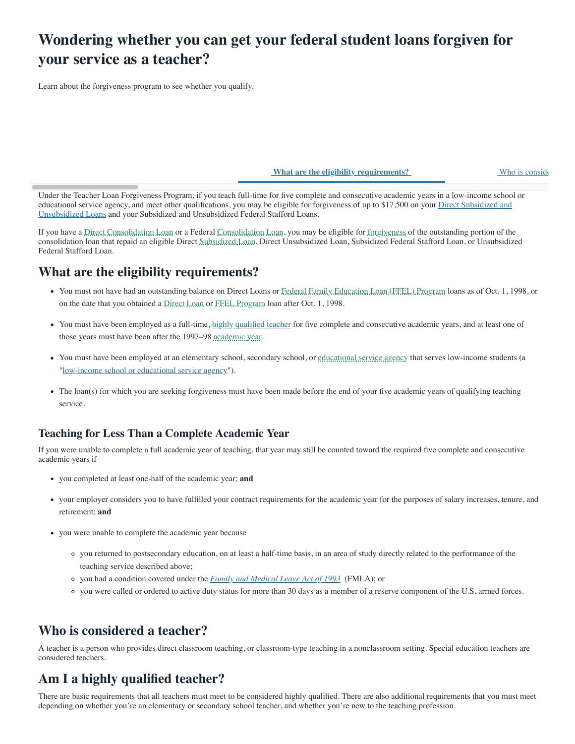# Wondering whether you can get your federal student loans forgiven for your service as a teacher?

Learn about the forgiveness program to see whether you qualify.

What are the eligibility requirements?<br>
Who is consider

Under the Teacher Loan Forgiveness Program, if you teach full-time for five complete and consecutive academic years in a low-income school or [educational service agency, and meet other qualifications, you may be eligible for forgiveness of up to \\$17,500 on your](https://studentaid.gov/understand-aid/types/loans/subsidized-unsubsidized) Direct Subsidized and Unsubsidized Loans and your Subsidized and Unsubsidized Federal Stafford Loans.

If you have a [Direct Consolidation Loan](javascript:void(0)) or a Federal [Consolidation](javascript:void(0)) [Loan,](javascript:void(0)) you may be eligible for [forgiveness](javascript:void(0)) of the outstanding portion of the consolidation loan that repaid an eligible Direct [Subsidized Loan](javascript:void(0)), Direct Unsubsidized Loan, Subsidized Federal Stafford Loan, or Unsubsidized Federal Stafford Loan.

### What are the eligibility requirements?

- You must not have had an outstanding balance on Direct Loans or [Federal Family Education Loan \(FFEL\) Program](javascript:void(0)) loans as of Oct. 1, 1998, or on the date that you obtained a [Direct Loan](javascript:void(0)) or [FFEL Program](javascript:void(0)) loan after Oct. 1, 1998.
- You must have been employed as a full-time, [highly qualified teacher](https://studentaid.gov/manage-loans/forgiveness-cancellation/teacher#highly-qualified) for five complete and consecutive academic years, and at least one of those years must have been after the 1997–98 [academic year.](javascript:void(0))
- You must have been employed at an elementary school, secondary school, or [educational service agency](javascript:void(0)) that serves low-income students (a "[low-income school or educational service agency](https://studentaid.gov/#low-income-school-service-agency)").
- The loan(s) for which you are seeking forgiveness must have been made before the end of your five academic years of qualifying teaching service.

#### Teaching for Less Than a Complete Academic Year

If you were unable to complete a full academic year of teaching, that year may still be counted toward the required five complete and consecutive academic years if

- you completed at least one-half of the academic year; and
- your employer considers you to have fulfilled your contract requirements for the academic year for the purposes of salary increases, tenure, and retirement; and
- you were unable to complete the academic year because
	- you returned to postsecondary education, on at least a half-time basis, in an area of study directly related to the performance of the teaching service described above;
	- $\circ$  you had a condition covered under the [Family and Medical Leave Act of 1993](https://www.dol.gov/agencies/whd/laws-and-regulations/laws/fmla) (FMLA); or
	- you were called or ordered to active duty status for more than 30 days as a member of a reserve component of the U.S. armed forces.

### Who is considered a teacher?

A teacher is a person who provides direct classroom teaching, or classroom-type teaching in a nonclassroom setting. Special education teachers are considered teachers.

# Am I a highly qualified teacher?

There are basic requirements that all teachers must meet to be considered highly qualified. There are also additional requirements that you must meet depending on whether you're an elementary or secondary school teacher, and whether you're new to the teaching profession.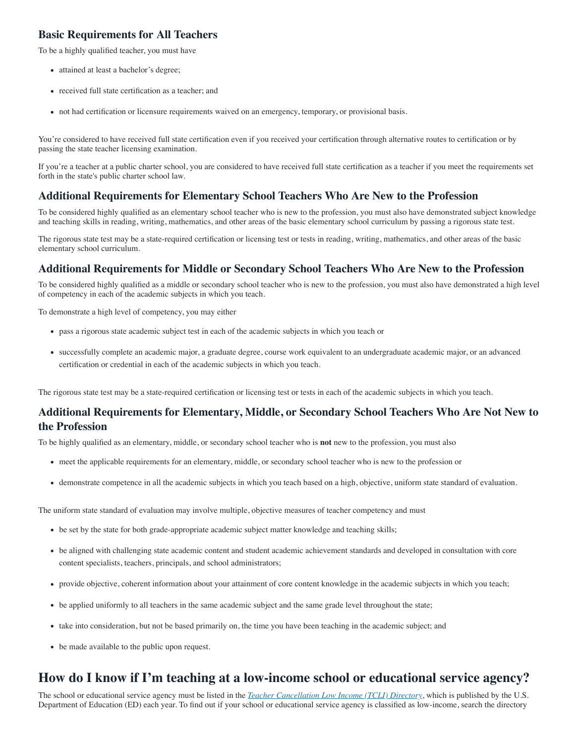#### Basic Requirements for All Teachers

To be a highly qualified teacher, you must have

- attained at least a bachelor's degree;
- received full state certification as a teacher; and
- not had certification or licensure requirements waived on an emergency, temporary, or provisional basis.

You're considered to have received full state certification even if you received your certification through alternative routes to certification or by passing the state teacher licensing examination.

If you're a teacher at a public charter school, you are considered to have received full state certification as a teacher if you meet the requirements set forth in the state's public charter school law.

#### Additional Requirements for Elementary School Teachers Who Are New to the Profession

To be considered highly qualified as an elementary school teacher who is new to the profession, you must also have demonstrated subject knowledge and teaching skills in reading, writing, mathematics, and other areas of the basic elementary school curriculum by passing a rigorous state test.

The rigorous state test may be a state-required certification or licensing test or tests in reading, writing, mathematics, and other areas of the basic elementary school curriculum.

#### Additional Requirements for Middle or Secondary School Teachers Who Are New to the Profession

To be considered highly qualified as a middle or secondary school teacher who is new to the profession, you must also have demonstrated a high level of competency in each of the academic subjects in which you teach.

To demonstrate a high level of competency, you may either

- pass a rigorous state academic subject test in each of the academic subjects in which you teach or
- successfully complete an academic major, a graduate degree, course work equivalent to an undergraduate academic major, or an advanced certification or credential in each of the academic subjects in which you teach.

The rigorous state test may be a state-required certification or licensing test or tests in each of the academic subjects in which you teach.

#### Additional Requirements for Elementary, Middle, or Secondary School Teachers Who Are Not New to the Profession

To be highly qualified as an elementary, middle, or secondary school teacher who is not new to the profession, you must also

- meet the applicable requirements for an elementary, middle, or secondary school teacher who is new to the profession or
- demonstrate competence in all the academic subjects in which you teach based on a high, objective, uniform state standard of evaluation.

The uniform state standard of evaluation may involve multiple, objective measures of teacher competency and must

- be set by the state for both grade-appropriate academic subject matter knowledge and teaching skills;
- be aligned with challenging state academic content and student academic achievement standards and developed in consultation with core content specialists, teachers, principals, and school administrators;
- provide objective, coherent information about your attainment of core content knowledge in the academic subjects in which you teach;
- be applied uniformly to all teachers in the same academic subject and the same grade level throughout the state;
- take into consideration, but not be based primarily on, the time you have been teaching in the academic subject; and
- be made available to the public upon request.

### How do I know if I'm teaching at a low-income school or educational service agency?

The school or educational service agency must be listed in the *[Teacher Cancellation Low Income \(TCLI\) Directory](https://studentaid.gov/tcli)*, which is published by the U.S. Department of Education (ED) each year. To find out if your school or educational service agency is classified as low-income, search the directory